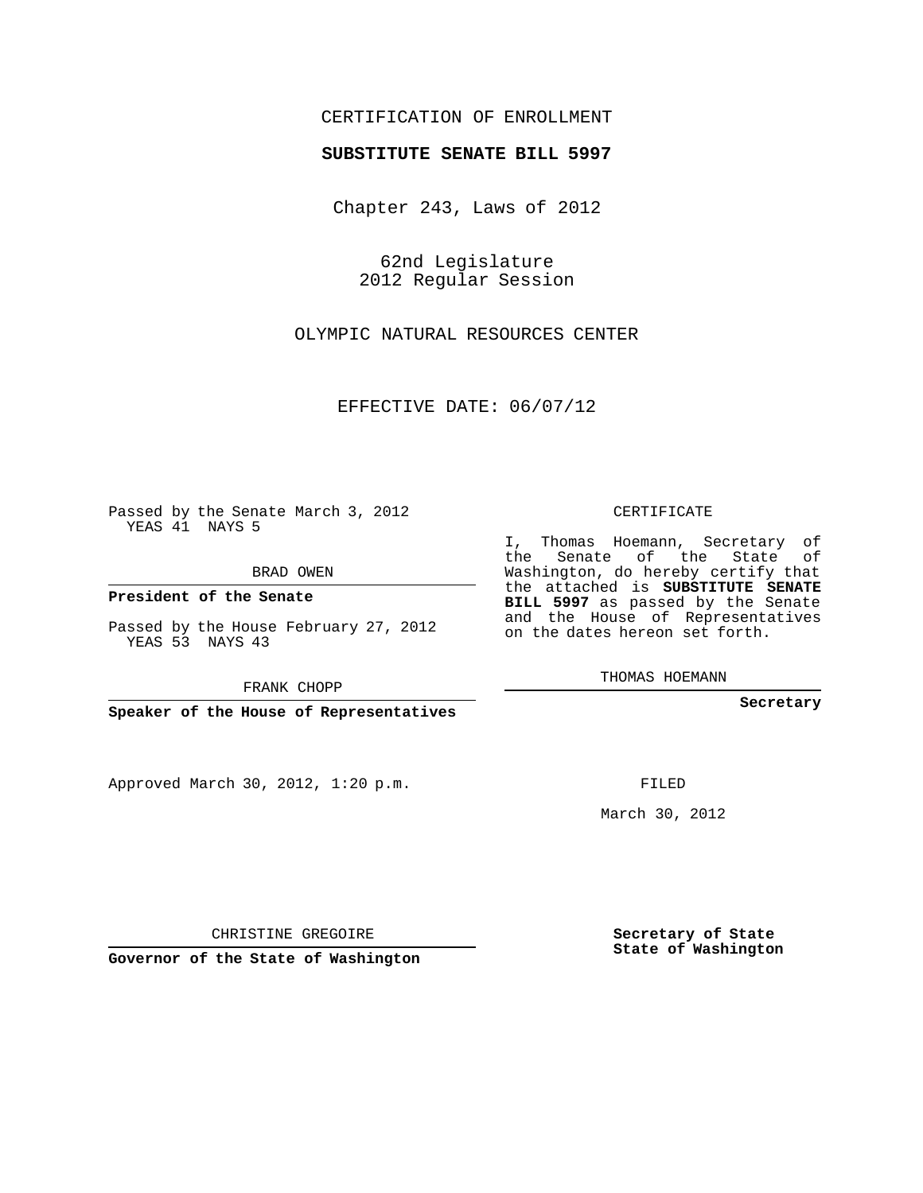## CERTIFICATION OF ENROLLMENT

## **SUBSTITUTE SENATE BILL 5997**

Chapter 243, Laws of 2012

62nd Legislature 2012 Regular Session

OLYMPIC NATURAL RESOURCES CENTER

EFFECTIVE DATE: 06/07/12

Passed by the Senate March 3, 2012 YEAS 41 NAYS 5

BRAD OWEN

**President of the Senate**

Passed by the House February 27, 2012 YEAS 53 NAYS 43

FRANK CHOPP

**Speaker of the House of Representatives**

Approved March 30, 2012, 1:20 p.m.

CERTIFICATE

I, Thomas Hoemann, Secretary of the Senate of the State of Washington, do hereby certify that the attached is **SUBSTITUTE SENATE BILL 5997** as passed by the Senate and the House of Representatives on the dates hereon set forth.

THOMAS HOEMANN

**Secretary**

FILED

March 30, 2012

**Secretary of State State of Washington**

CHRISTINE GREGOIRE

**Governor of the State of Washington**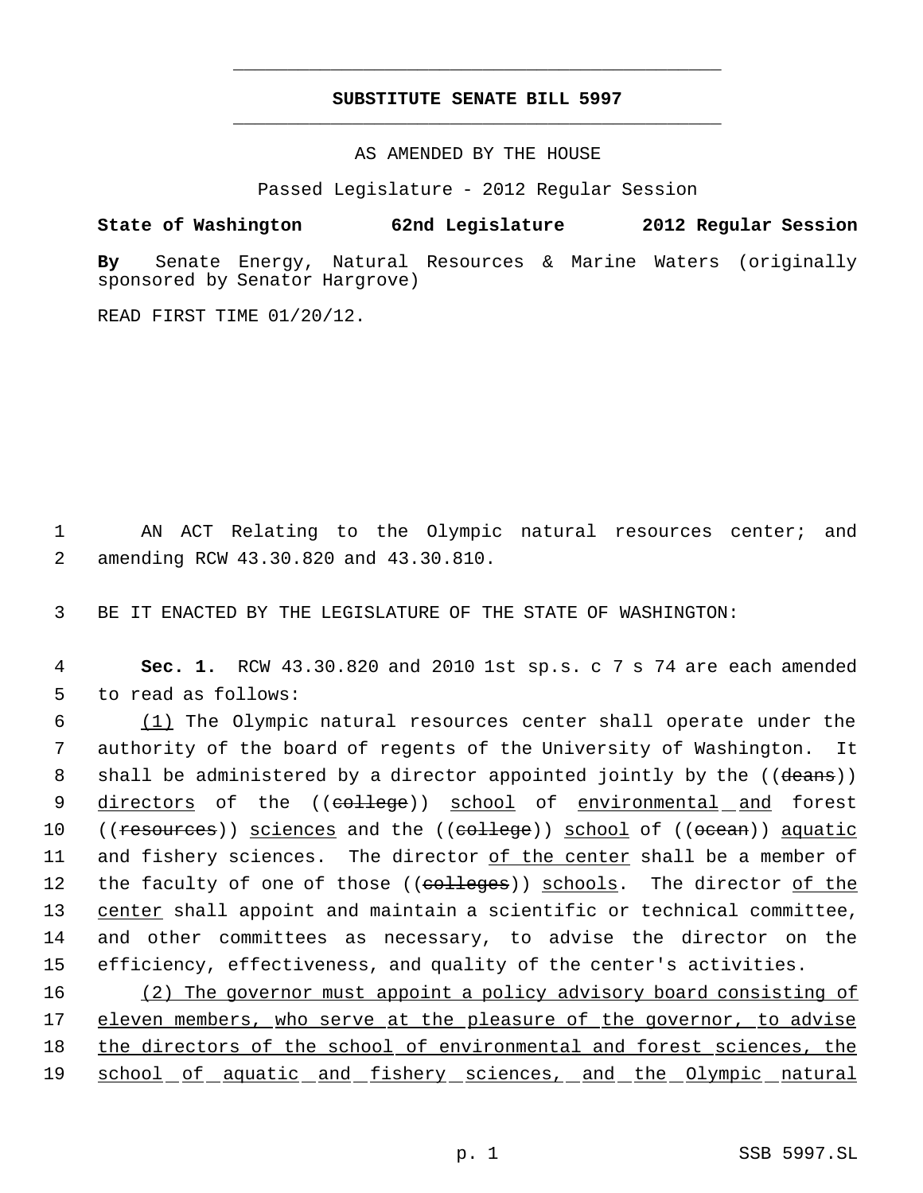## **SUBSTITUTE SENATE BILL 5997** \_\_\_\_\_\_\_\_\_\_\_\_\_\_\_\_\_\_\_\_\_\_\_\_\_\_\_\_\_\_\_\_\_\_\_\_\_\_\_\_\_\_\_\_\_

\_\_\_\_\_\_\_\_\_\_\_\_\_\_\_\_\_\_\_\_\_\_\_\_\_\_\_\_\_\_\_\_\_\_\_\_\_\_\_\_\_\_\_\_\_

AS AMENDED BY THE HOUSE

Passed Legislature - 2012 Regular Session

**State of Washington 62nd Legislature 2012 Regular Session**

**By** Senate Energy, Natural Resources & Marine Waters (originally sponsored by Senator Hargrove)

READ FIRST TIME 01/20/12.

 1 AN ACT Relating to the Olympic natural resources center; and 2 amending RCW 43.30.820 and 43.30.810.

3 BE IT ENACTED BY THE LEGISLATURE OF THE STATE OF WASHINGTON:

 4 **Sec. 1.** RCW 43.30.820 and 2010 1st sp.s. c 7 s 74 are each amended 5 to read as follows:

6  $(1)$  The Olympic natural resources center shall operate under the 7 authority of the board of regents of the University of Washington. It 8 shall be administered by a director appointed jointly by the ((deans)) 9 directors of the ((college)) school of environmental and forest 10 ((resources)) sciences and the ((college)) school of ((ocean)) aquatic 11 and fishery sciences. The director of the center shall be a member of 12 the faculty of one of those ((colleges)) schools. The director of the 13 center shall appoint and maintain a scientific or technical committee, 14 and other committees as necessary, to advise the director on the 15 efficiency, effectiveness, and quality of the center's activities.

16 (2) The governor must appoint a policy advisory board consisting of 17 eleven members, who serve at the pleasure of the governor, to advise 18 the directors of the school of environmental and forest sciences, the 19 school of aquatic and fishery sciences, and the Olympic natural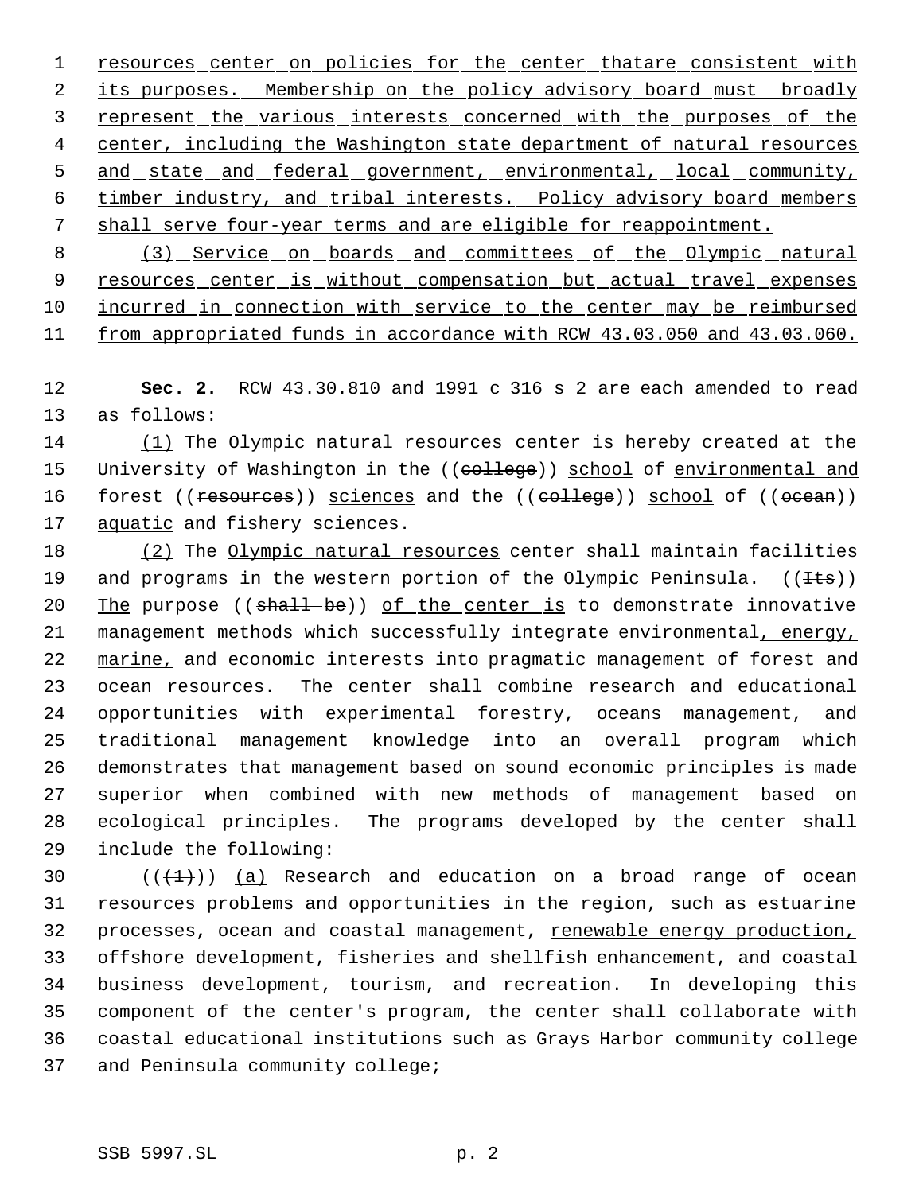1 resources center on policies for the center thatare consistent with 2 its purposes. Membership on the policy advisory board must broadly 3 represent the various interests concerned with the purposes of the 4 center, including the Washington state department of natural resources 5 and state and federal government, environmental, local community, 6 timber industry, and tribal interests. Policy advisory board members 7 shall serve four-year terms and are eligible for reappointment.

8 (3) Service on boards and committees of the Olympic natural 9 resources center is without compensation but actual travel expenses 10 incurred in connection with service to the center may be reimbursed 11 from appropriated funds in accordance with RCW 43.03.050 and 43.03.060.

12 **Sec. 2.** RCW 43.30.810 and 1991 c 316 s 2 are each amended to read 13 as follows:

14 (1) The Olympic natural resources center is hereby created at the 15 University of Washington in the ((college)) school of environmental and 16 forest ((resources)) sciences and the ((college)) school of ((ocean)) 17 aquatic and fishery sciences.

 (2) The Olympic natural resources center shall maintain facilities 19 and programs in the western portion of the Olympic Peninsula.  $((\pm \pm s))$ 20 The purpose  $((\text{shall}-\text{be}))$  of the center is to demonstrate innovative 21 management methods which successfully integrate environmental, energy, 22 marine, and economic interests into pragmatic management of forest and ocean resources. The center shall combine research and educational opportunities with experimental forestry, oceans management, and traditional management knowledge into an overall program which demonstrates that management based on sound economic principles is made superior when combined with new methods of management based on ecological principles. The programs developed by the center shall include the following:

 $((+1))$   $(a)$  Research and education on a broad range of ocean resources problems and opportunities in the region, such as estuarine 32 processes, ocean and coastal management, renewable energy production, offshore development, fisheries and shellfish enhancement, and coastal business development, tourism, and recreation. In developing this component of the center's program, the center shall collaborate with coastal educational institutions such as Grays Harbor community college and Peninsula community college;